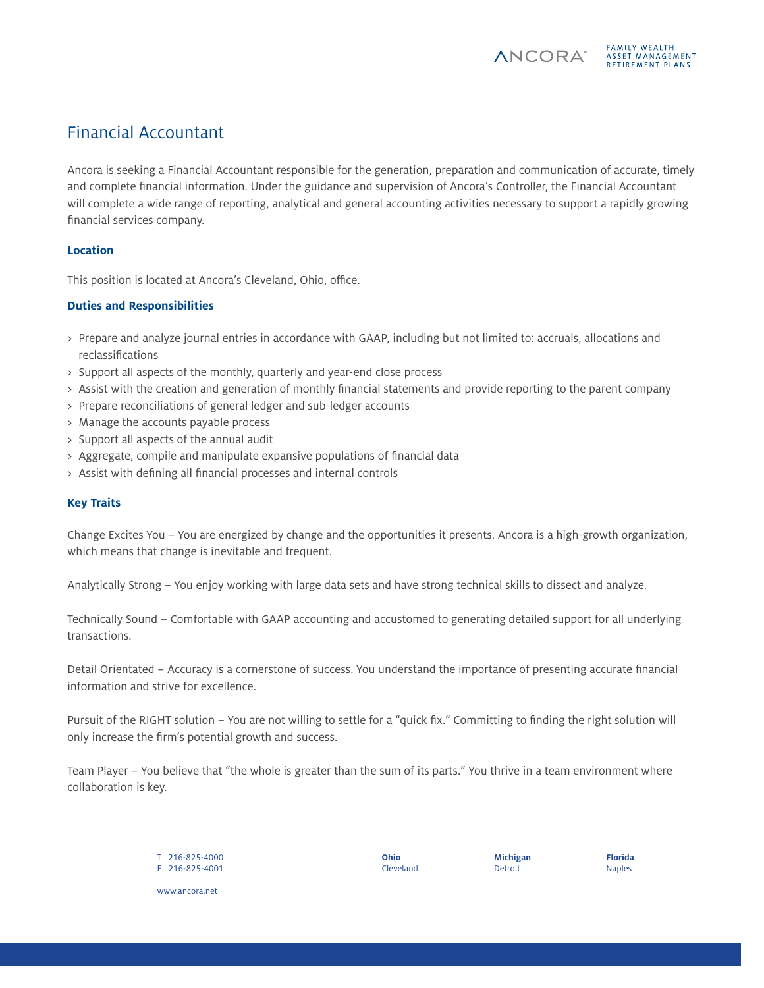Ancora is seeking a Financial Accountant responsible for the generation, preparation and communication of accurate, timely and complete financial information. Under the guidance and supervision of Ancora's Controller, the Financial Accountant will complete a wide range of reporting, analytical and general accounting activities necessary to support a rapidly growing financial services company.

# **Location**

This position is located at Ancora's Cleveland, Ohio, office.

# **Duties and Responsibilities**

- > Prepare and analyze journal entries in accordance with GAAP, including but not limited to: accruals, allocations and reclassifications
- > Support all aspects of the monthly, quarterly and year-end close process
- > Assist with the creation and generation of monthly financial statements and provide reporting to the parent company
- > Prepare reconciliations of general ledger and sub-ledger accounts
- > Manage the accounts payable process
- > Support all aspects of the annual audit
- > Aggregate, compile and manipulate expansive populations of financial data
- > Assist with defining all financial processes and internal controls

### **Key Traits**

Change Excites You – You are energized by change and the opportunities it presents. Ancora is a high-growth organization, which means that change is inevitable and frequent.

Analytically Strong – You enjoy working with large data sets and have strong technical skills to dissect and analyze.

Technically Sound – Comfortable with GAAP accounting and accustomed to generating detailed support for all underlying transactions.

Detail Orientated – Accuracy is a cornerstone of success. You understand the importance of presenting accurate financial information and strive for excellence.

Pursuit of the RIGHT solution – You are not willing to settle for a "quick fix." Committing to finding the right solution will only increase the firm's potential growth and success.

Team Player – You believe that "the whole is greater than the sum of its parts." You thrive in a team environment where collaboration is key.

> T 216-825-4000 F 216-825-4001

**Ohio** Cleveland **Michigan** Detroit

**Florida** Naples

FAMILY WEALTH<br>ASSET MANAGEMENT

**RETIREMENT PLANS** 

**ANCORA**<sup>®</sup>

www.ancora.net